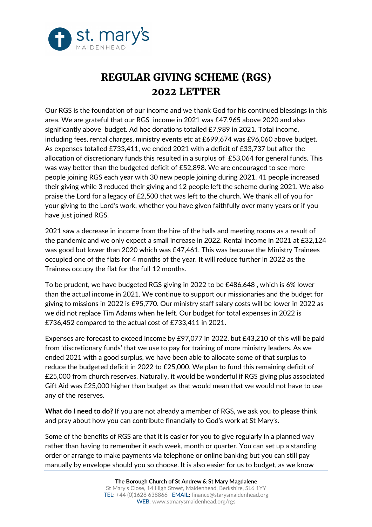

## **REGULAR GIVING SCHEME (RGS) 2022 LETTER**

Our RGS is the foundation of our income and we thank God for his continued blessings in this area. We are grateful that our RGS income in 2021 was £47,965 above 2020 and also significantly above budget. Ad hoc donations totalled £7,989 in 2021. Total income, including fees, rental charges, ministry events etc at £699,674 was £96,060 above budget. As expenses totalled £733,411, we ended 2021 with a deficit of £33,737 but after the allocation of discretionary funds this resulted in a surplus of £53,064 for general funds. This was way better than the budgeted deficit of £52,898. We are encouraged to see more people joining RGS each year with 30 new people joining during 2021. 41 people increased their giving while 3 reduced their giving and 12 people left the scheme during 2021. We also praise the Lord for a legacy of £2,500 that was left to the church. We thank all of you for your giving to the Lord's work, whether you have given faithfully over many years or if you have just joined RGS.

2021 saw a decrease in income from the hire of the halls and meeting rooms as a result of the pandemic and we only expect a small increase in 2022. Rental income in 2021 at £32,124 was good but lower than 2020 which was £47,461. This was because the Ministry Trainees occupied one of the flats for 4 months of the year. It will reduce further in 2022 as the Trainess occupy the flat for the full 12 months.

To be prudent, we have budgeted RGS giving in 2022 to be £486,648 , which is 6% lower than the actual income in 2021. We continue to support our missionaries and the budget for giving to missions in 2022 is £95,770. Our ministry staff salary costs will be lower in 2022 as we did not replace Tim Adams when he left. Our budget for total expenses in 2022 is £736,452 compared to the actual cost of £733,411 in 2021.

Expenses are forecast to exceed income by £97,077 in 2022, but £43,210 of this will be paid from 'discretionary funds' that we use to pay for training of more ministry leaders. As we ended 2021 with a good surplus, we have been able to allocate some of that surplus to reduce the budgeted deficit in 2022 to £25,000. We plan to fund this remaining deficit of £25,000 from church reserves. Naturally, it would be wonderful if RGS giving plus associated Gift Aid was £25,000 higher than budget as that would mean that we would not have to use any of the reserves.

**What do I need to do?** If you are not already a member of RGS, we ask you to please think and pray about how you can contribute financially to God's work at St Mary's.

Some of the benefits of RGS are that it is easier for you to give regularly in a planned way rather than having to remember it each week, month or quarter. You can set up a standing order or arrange to make payments via telephone or online banking but you can still pay manually by envelope should you so choose. It is also easier for us to budget, as we know